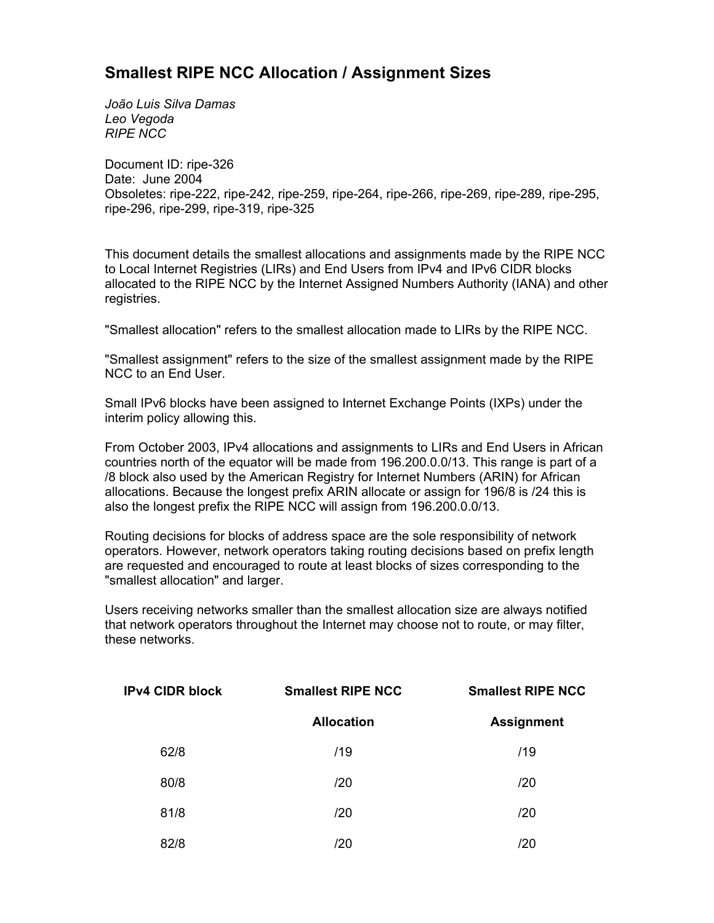## **Smallest RIPE NCC Allocation / Assignment Sizes**

*João Luis Silva Damas Leo Vegoda RIPE NCC*

Document ID: ripe-326 Date: June 2004 Obsoletes: ripe-222, ripe-242, ripe-259, ripe-264, ripe-266, ripe-269, ripe-289, ripe-295, ripe-296, ripe-299, ripe-319, ripe-325

This document details the smallest allocations and assignments made by the RIPE NCC to Local Internet Registries (LIRs) and End Users from IPv4 and IPv6 CIDR blocks allocated to the RIPE NCC by the Internet Assigned Numbers Authority (IANA) and other registries.

"Smallest allocation" refers to the smallest allocation made to LIRs by the RIPE NCC.

"Smallest assignment" refers to the size of the smallest assignment made by the RIPE NCC to an End User.

Small IPv6 blocks have been assigned to Internet Exchange Points (IXPs) under the interim policy allowing this.

From October 2003, IPv4 allocations and assignments to LIRs and End Users in African countries north of the equator will be made from 196.200.0.0/13. This range is part of a /8 block also used by the American Registry for Internet Numbers (ARIN) for African allocations. Because the longest prefix ARIN allocate or assign for 196/8 is /24 this is also the longest prefix the RIPE NCC will assign from 196.200.0.0/13.

Routing decisions for blocks of address space are the sole responsibility of network operators. However, network operators taking routing decisions based on prefix length are requested and encouraged to route at least blocks of sizes corresponding to the "smallest allocation" and larger.

Users receiving networks smaller than the smallest allocation size are always notified that network operators throughout the Internet may choose not to route, or may filter, these networks.

| <b>IPv4 CIDR block</b> | <b>Smallest RIPE NCC</b> | <b>Smallest RIPE NCC</b> |  |
|------------------------|--------------------------|--------------------------|--|
|                        | <b>Allocation</b>        | <b>Assignment</b>        |  |
| 62/8                   | /19                      | /19                      |  |
| 80/8                   | /20                      | /20                      |  |
| 81/8                   | /20                      | /20                      |  |
| 82/8                   | /20                      | /20                      |  |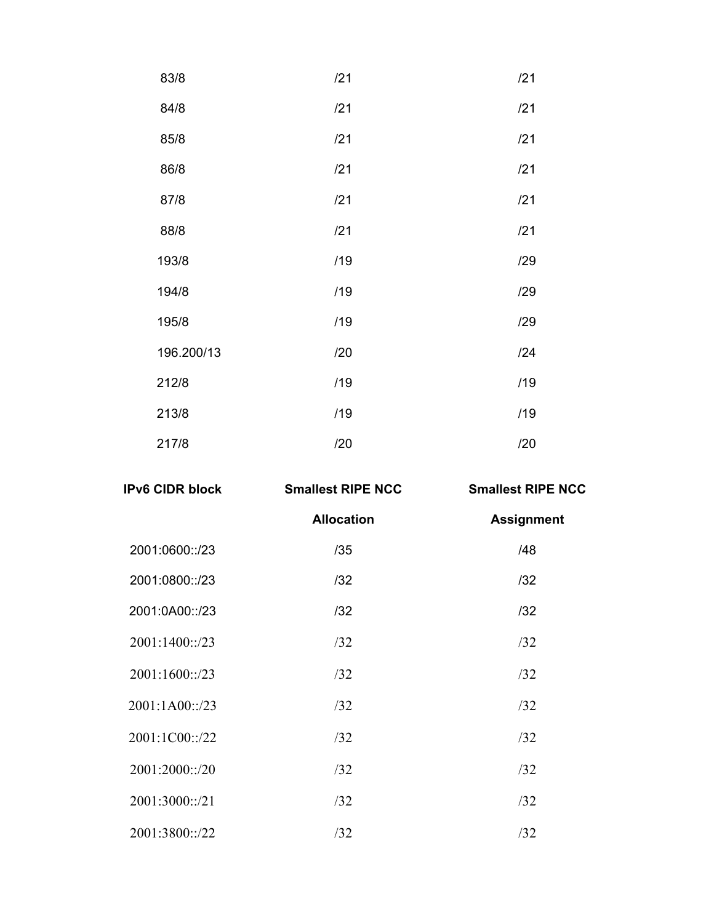| 83/8       | /21 | /21 |
|------------|-----|-----|
| 84/8       | /21 | /21 |
| 85/8       | /21 | /21 |
| 86/8       | /21 | /21 |
| 87/8       | /21 | /21 |
| 88/8       | /21 | /21 |
| 193/8      | /19 | /29 |
| 194/8      | /19 | /29 |
| 195/8      | /19 | /29 |
| 196.200/13 | /20 | /24 |
| 212/8      | /19 | /19 |
| 213/8      | /19 | /19 |
| 217/8      | /20 | /20 |

| <b>IPv6 CIDR block</b> | <b>Smallest RIPE NCC</b> | <b>Smallest RIPE NCC</b> |  |
|------------------------|--------------------------|--------------------------|--|
|                        | <b>Allocation</b>        | <b>Assignment</b>        |  |
| 2001:0600::/23         | /35                      | /48                      |  |
| 2001:0800::/23         | 132                      | /32                      |  |
| 2001:0A00::/23         | 132                      | /32                      |  |
| 2001:1400::/23         | /32                      | /32                      |  |
| 2001:1600::/23         | /32                      | /32                      |  |
| 2001:1A00::/23         | /32                      | /32                      |  |
| 2001:1C00::/22         | /32                      | /32                      |  |
| 2001:2000::/20         | /32                      | /32                      |  |
| 2001:3000::/21         | /32                      | /32                      |  |
| 2001:3800::/22         | /32                      | /32                      |  |